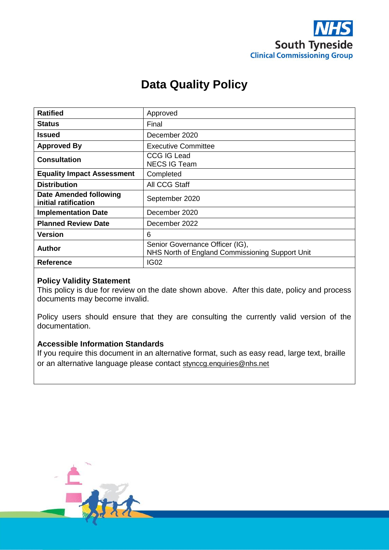

# **Data Quality Policy**

| <b>Ratified</b>                                       | Approved                                                                           |
|-------------------------------------------------------|------------------------------------------------------------------------------------|
| <b>Status</b>                                         | Final                                                                              |
| <b>Issued</b>                                         | December 2020                                                                      |
| <b>Approved By</b>                                    | Executive Committee                                                                |
| <b>Consultation</b>                                   | <b>CCG IG Lead</b><br><b>NECS IG Team</b>                                          |
| <b>Equality Impact Assessment</b>                     | Completed                                                                          |
| <b>Distribution</b>                                   | All CCG Staff                                                                      |
| <b>Date Amended following</b><br>initial ratification | September 2020                                                                     |
| <b>Implementation Date</b>                            | December 2020                                                                      |
| <b>Planned Review Date</b>                            | December 2022                                                                      |
| <b>Version</b>                                        | 6                                                                                  |
| Author                                                | Senior Governance Officer (IG),<br>NHS North of England Commissioning Support Unit |
| Reference                                             | IG <sub>02</sub>                                                                   |

### **Policy Validity Statement**

This policy is due for review on the date shown above. After this date, policy and process documents may become invalid.

Policy users should ensure that they are consulting the currently valid version of the documentation.

### **Accessible Information Standards**

If you require this document in an alternative format, such as easy read, large text, braille or an alternative language please contact [stynccg.enquiries@nhs.net](mailto:stynccg.enquiries@nhs.net)

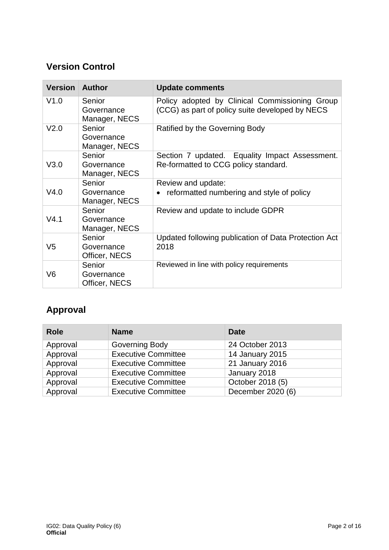## **Version Control**

| <b>Version</b>   | Author                                | <b>Update comments</b>                                                                            |
|------------------|---------------------------------------|---------------------------------------------------------------------------------------------------|
| V1.0             | Senior<br>Governance<br>Manager, NECS | Policy adopted by Clinical Commissioning Group<br>(CCG) as part of policy suite developed by NECS |
| V <sub>2.0</sub> | Senior<br>Governance<br>Manager, NECS | Ratified by the Governing Body                                                                    |
| V3.0             | Senior<br>Governance<br>Manager, NECS | Section 7 updated. Equality Impact Assessment.<br>Re-formatted to CCG policy standard.            |
| V4.0             | Senior<br>Governance<br>Manager, NECS | Review and update:<br>reformatted numbering and style of policy                                   |
| V4.1             | Senior<br>Governance<br>Manager, NECS | Review and update to include GDPR                                                                 |
| V5               | Senior<br>Governance<br>Officer, NECS | Updated following publication of Data Protection Act<br>2018                                      |
| V6               | Senior<br>Governance<br>Officer, NECS | Reviewed in line with policy requirements                                                         |

# **Approval**

| <b>Role</b> | <b>Name</b>                | <b>Date</b>       |
|-------------|----------------------------|-------------------|
| Approval    | Governing Body             | 24 October 2013   |
| Approval    | <b>Executive Committee</b> | 14 January 2015   |
| Approval    | <b>Executive Committee</b> | 21 January 2016   |
| Approval    | <b>Executive Committee</b> | January 2018      |
| Approval    | <b>Executive Committee</b> | October 2018 (5)  |
| Approval    | <b>Executive Committee</b> | December 2020 (6) |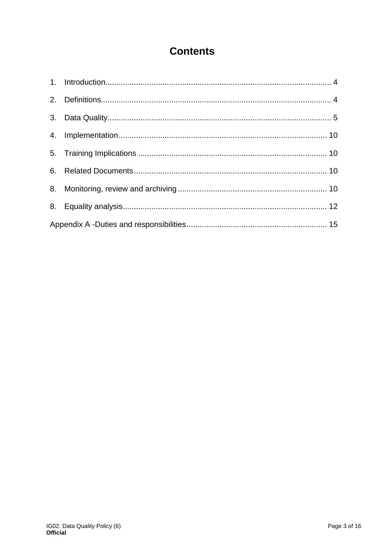# **Contents**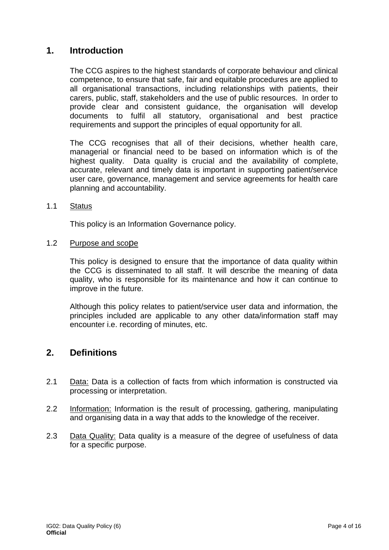### <span id="page-3-0"></span>**1. Introduction**

The CCG aspires to the highest standards of corporate behaviour and clinical competence, to ensure that safe, fair and equitable procedures are applied to all organisational transactions, including relationships with patients, their carers, public, staff, stakeholders and the use of public resources. In order to provide clear and consistent guidance, the organisation will develop documents to fulfil all statutory, organisational and best practice requirements and support the principles of equal opportunity for all.

The CCG recognises that all of their decisions, whether health care, managerial or financial need to be based on information which is of the highest quality. Data quality is crucial and the availability of complete, accurate, relevant and timely data is important in supporting patient/service user care, governance, management and service agreements for health care planning and accountability.

1.1 Status

This policy is an Information Governance policy.

1.2 Purpose and scope

This policy is designed to ensure that the importance of data quality within the CCG is disseminated to all staff. It will describe the meaning of data quality, who is responsible for its maintenance and how it can continue to improve in the future.

Although this policy relates to patient/service user data and information, the principles included are applicable to any other data/information staff may encounter i.e. recording of minutes, etc.

### <span id="page-3-1"></span>**2. Definitions**

- 2.1 Data: Data is a collection of facts from which information is constructed via processing or interpretation.
- 2.2 Information: Information is the result of processing, gathering, manipulating and organising data in a way that adds to the knowledge of the receiver.
- 2.3 Data Quality: Data quality is a measure of the degree of usefulness of data for a specific purpose.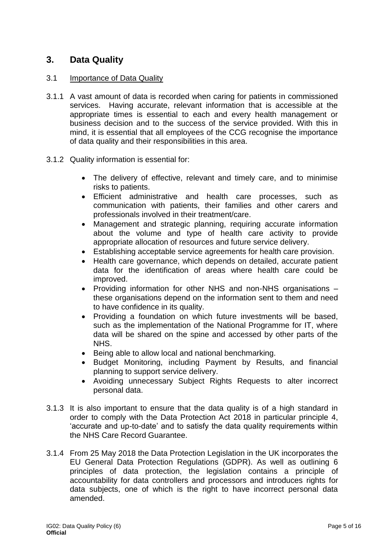### <span id="page-4-0"></span>**3. Data Quality**

### 3.1 Importance of Data Quality

- 3.1.1 A vast amount of data is recorded when caring for patients in commissioned services. Having accurate, relevant information that is accessible at the appropriate times is essential to each and every health management or business decision and to the success of the service provided. With this in mind, it is essential that all employees of the CCG recognise the importance of data quality and their responsibilities in this area.
- 3.1.2 Quality information is essential for:
	- The delivery of effective, relevant and timely care, and to minimise risks to patients.
	- Efficient administrative and health care processes, such as communication with patients, their families and other carers and professionals involved in their treatment/care.
	- Management and strategic planning, requiring accurate information about the volume and type of health care activity to provide appropriate allocation of resources and future service delivery.
	- Establishing acceptable service agreements for health care provision.
	- Health care governance, which depends on detailed, accurate patient data for the identification of areas where health care could be improved.
	- Providing information for other NHS and non-NHS organisations these organisations depend on the information sent to them and need to have confidence in its quality.
	- Providing a foundation on which future investments will be based, such as the implementation of the National Programme for IT, where data will be shared on the spine and accessed by other parts of the NHS.
	- Being able to allow local and national benchmarking.
	- Budget Monitoring, including Payment by Results, and financial planning to support service delivery.
	- Avoiding unnecessary Subject Rights Requests to alter incorrect personal data.
- 3.1.3 It is also important to ensure that the data quality is of a high standard in order to comply with the Data Protection Act 2018 in particular principle 4, 'accurate and up-to-date' and to satisfy the data quality requirements within the NHS Care Record Guarantee.
- 3.1.4 From 25 May 2018 the Data Protection Legislation in the UK incorporates the EU General Data Protection Regulations (GDPR). As well as outlining 6 principles of data protection, the legislation contains a principle of accountability for data controllers and processors and introduces rights for data subjects, one of which is the right to have incorrect personal data amended.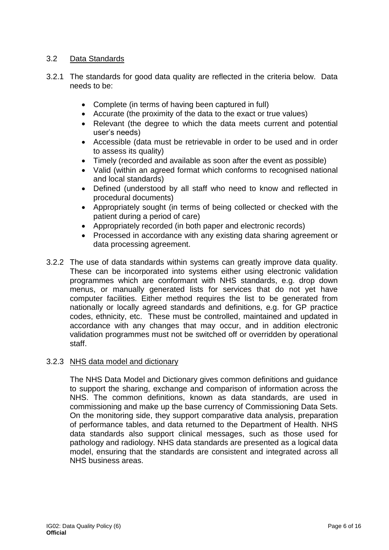### 3.2 Data Standards

- 3.2.1 The standards for good data quality are reflected in the criteria below. Data needs to be:
	- Complete (in terms of having been captured in full)
	- Accurate (the proximity of the data to the exact or true values)
	- Relevant (the degree to which the data meets current and potential user's needs)
	- Accessible (data must be retrievable in order to be used and in order to assess its quality)
	- Timely (recorded and available as soon after the event as possible)
	- Valid (within an agreed format which conforms to recognised national and local standards)
	- Defined (understood by all staff who need to know and reflected in procedural documents)
	- Appropriately sought (in terms of being collected or checked with the patient during a period of care)
	- Appropriately recorded (in both paper and electronic records)
	- Processed in accordance with any existing data sharing agreement or data processing agreement.
- 3.2.2 The use of data standards within systems can greatly improve data quality. These can be incorporated into systems either using electronic validation programmes which are conformant with NHS standards, e.g. drop down menus, or manually generated lists for services that do not yet have computer facilities. Either method requires the list to be generated from nationally or locally agreed standards and definitions, e.g. for GP practice codes, ethnicity, etc. These must be controlled, maintained and updated in accordance with any changes that may occur, and in addition electronic validation programmes must not be switched off or overridden by operational staff.

### 3.2.3 NHS data model and dictionary

The NHS Data Model and Dictionary gives common definitions and guidance to support the sharing, exchange and comparison of information across the NHS. The common definitions, known as data standards, are used in commissioning and make up the base currency of Commissioning Data Sets. On the monitoring side, they support comparative data analysis, preparation of performance tables, and data returned to the Department of Health. NHS data standards also support clinical messages, such as those used for pathology and radiology. NHS data standards are presented as a logical data model, ensuring that the standards are consistent and integrated across all NHS business areas.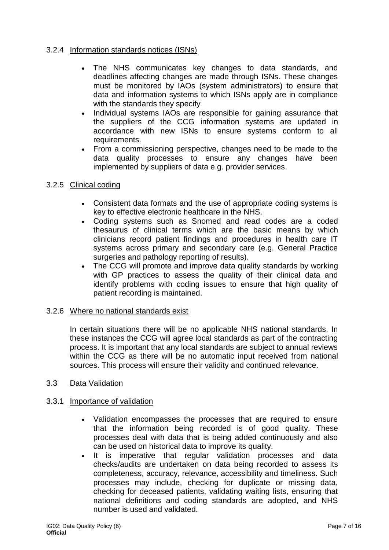### 3.2.4 Information standards notices (ISNs)

- The NHS communicates key changes to data standards, and deadlines affecting changes are made through ISNs. These changes must be monitored by IAOs (system administrators) to ensure that data and information systems to which ISNs apply are in compliance with the standards they specify
- Individual systems IAOs are responsible for gaining assurance that the suppliers of the CCG information systems are updated in accordance with new ISNs to ensure systems conform to all requirements.
- From a commissioning perspective, changes need to be made to the data quality processes to ensure any changes have been implemented by suppliers of data e.g. provider services.

### 3.2.5 Clinical coding

- Consistent data formats and the use of appropriate coding systems is key to effective electronic healthcare in the NHS.
- Coding systems such as Snomed and read codes are a coded thesaurus of clinical terms which are the basic means by which clinicians record patient findings and procedures in health care IT systems across primary and secondary care (e.g. General Practice surgeries and pathology reporting of results).
- The CCG will promote and improve data quality standards by working with GP practices to assess the quality of their clinical data and identify problems with coding issues to ensure that high quality of patient recording is maintained.

### 3.2.6 Where no national standards exist

In certain situations there will be no applicable NHS national standards. In these instances the CCG will agree local standards as part of the contracting process. It is important that any local standards are subject to annual reviews within the CCG as there will be no automatic input received from national sources. This process will ensure their validity and continued relevance.

### 3.3 Data Validation

### 3.3.1 Importance of validation

- Validation encompasses the processes that are required to ensure that the information being recorded is of good quality. These processes deal with data that is being added continuously and also can be used on historical data to improve its quality.
- It is imperative that regular validation processes and data checks/audits are undertaken on data being recorded to assess its completeness, accuracy, relevance, accessibility and timeliness. Such processes may include, checking for duplicate or missing data, checking for deceased patients, validating waiting lists, ensuring that national definitions and coding standards are adopted, and NHS number is used and validated.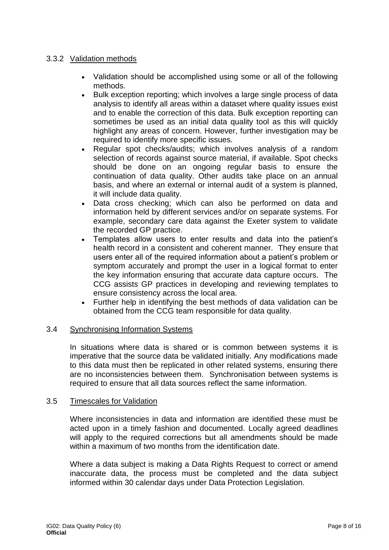### 3.3.2 Validation methods

- Validation should be accomplished using some or all of the following methods.
- Bulk exception reporting; which involves a large single process of data analysis to identify all areas within a dataset where quality issues exist and to enable the correction of this data. Bulk exception reporting can sometimes be used as an initial data quality tool as this will quickly highlight any areas of concern. However, further investigation may be required to identify more specific issues.
- Regular spot checks/audits; which involves analysis of a random selection of records against source material, if available. Spot checks should be done on an ongoing regular basis to ensure the continuation of data quality. Other audits take place on an annual basis, and where an external or internal audit of a system is planned, it will include data quality.
- Data cross checking; which can also be performed on data and information held by different services and/or on separate systems. For example, secondary care data against the Exeter system to validate the recorded GP practice.
- Templates allow users to enter results and data into the patient's health record in a consistent and coherent manner. They ensure that users enter all of the required information about a patient's problem or symptom accurately and prompt the user in a logical format to enter the key information ensuring that accurate data capture occurs. The CCG assists GP practices in developing and reviewing templates to ensure consistency across the local area.
- Further help in identifying the best methods of data validation can be obtained from the CCG team responsible for data quality.

### 3.4 Synchronising Information Systems

In situations where data is shared or is common between systems it is imperative that the source data be validated initially. Any modifications made to this data must then be replicated in other related systems, ensuring there are no inconsistencies between them. Synchronisation between systems is required to ensure that all data sources reflect the same information.

### 3.5 Timescales for Validation

Where inconsistencies in data and information are identified these must be acted upon in a timely fashion and documented. Locally agreed deadlines will apply to the required corrections but all amendments should be made within a maximum of two months from the identification date.

Where a data subject is making a Data Rights Request to correct or amend inaccurate data, the process must be completed and the data subject informed within 30 calendar days under Data Protection Legislation.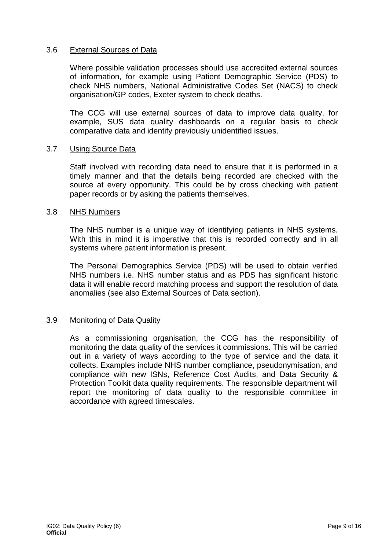#### 3.6 External Sources of Data

Where possible validation processes should use accredited external sources of information, for example using Patient Demographic Service (PDS) to check NHS numbers, National Administrative Codes Set (NACS) to check organisation/GP codes, Exeter system to check deaths.

The CCG will use external sources of data to improve data quality, for example, SUS data quality dashboards on a regular basis to check comparative data and identify previously unidentified issues.

#### 3.7 Using Source Data

Staff involved with recording data need to ensure that it is performed in a timely manner and that the details being recorded are checked with the source at every opportunity. This could be by cross checking with patient paper records or by asking the patients themselves.

#### 3.8 NHS Numbers

The NHS number is a unique way of identifying patients in NHS systems. With this in mind it is imperative that this is recorded correctly and in all systems where patient information is present.

The Personal Demographics Service (PDS) will be used to obtain verified NHS numbers i.e. NHS number status and as PDS has significant historic data it will enable record matching process and support the resolution of data anomalies (see also External Sources of Data section).

#### 3.9 Monitoring of Data Quality

As a commissioning organisation, the CCG has the responsibility of monitoring the data quality of the services it commissions. This will be carried out in a variety of ways according to the type of service and the data it collects. Examples include NHS number compliance, pseudonymisation, and compliance with new ISNs, Reference Cost Audits, and Data Security & Protection Toolkit data quality requirements. The responsible department will report the monitoring of data quality to the responsible committee in accordance with agreed timescales.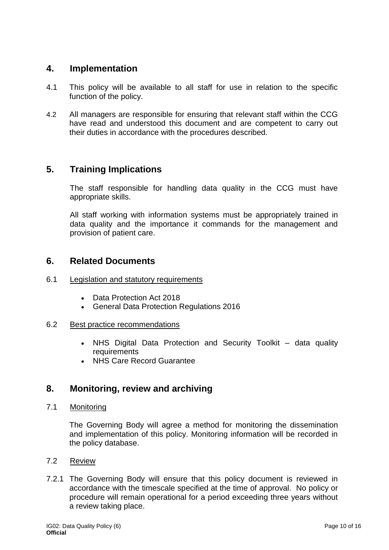### <span id="page-9-0"></span>**4. Implementation**

- 4.1 This policy will be available to all staff for use in relation to the specific function of the policy.
- 4.2 All managers are responsible for ensuring that relevant staff within the CCG have read and understood this document and are competent to carry out their duties in accordance with the procedures described.

### <span id="page-9-1"></span>**5. Training Implications**

The staff responsible for handling data quality in the CCG must have appropriate skills.

All staff working with information systems must be appropriately trained in data quality and the importance it commands for the management and provision of patient care.

### <span id="page-9-2"></span>**6. Related Documents**

- 6.1 Legislation and statutory requirements
	- Data Protection Act 2018
	- General Data Protection Regulations 2016

### 6.2 Best practice recommendations

- NHS Digital Data Protection and Security Toolkit data quality **requirements**
- NHS Care Record Guarantee

### <span id="page-9-3"></span>**8. Monitoring, review and archiving**

### 7.1 Monitoring

The Governing Body will agree a method for monitoring the dissemination and implementation of this policy. Monitoring information will be recorded in the policy database.

### 7.2 Review

7.2.1 The Governing Body will ensure that this policy document is reviewed in accordance with the timescale specified at the time of approval. No policy or procedure will remain operational for a period exceeding three years without a review taking place.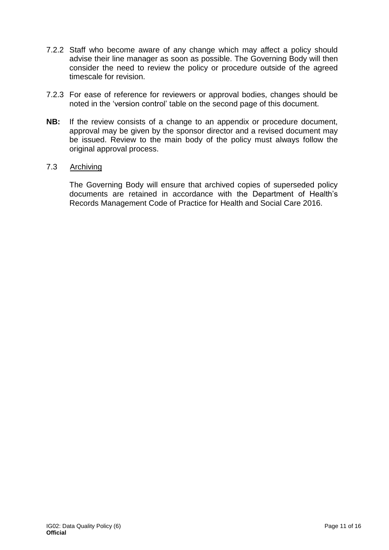- 7.2.2 Staff who become aware of any change which may affect a policy should advise their line manager as soon as possible. The Governing Body will then consider the need to review the policy or procedure outside of the agreed timescale for revision.
- 7.2.3 For ease of reference for reviewers or approval bodies, changes should be noted in the 'version control' table on the second page of this document.
- **NB:** If the review consists of a change to an appendix or procedure document, approval may be given by the sponsor director and a revised document may be issued. Review to the main body of the policy must always follow the original approval process.

#### 7.3 Archiving

The Governing Body will ensure that archived copies of superseded policy documents are retained in accordance with the Department of Health's Records Management Code of Practice for Health and Social Care 2016.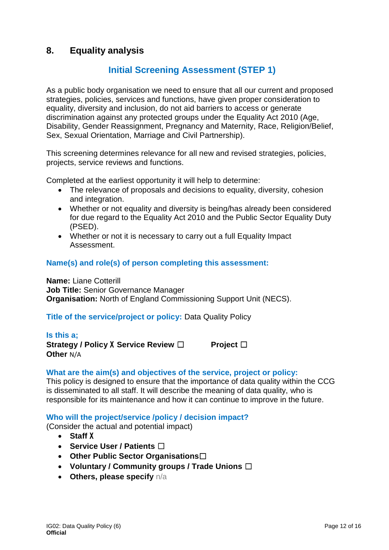### <span id="page-11-0"></span>**8. Equality analysis**

### **Initial Screening Assessment (STEP 1)**

As a public body organisation we need to ensure that all our current and proposed strategies, policies, services and functions, have given proper consideration to equality, diversity and inclusion, do not aid barriers to access or generate discrimination against any protected groups under the Equality Act 2010 (Age, Disability, Gender Reassignment, Pregnancy and Maternity, Race, Religion/Belief, Sex, Sexual Orientation, Marriage and Civil Partnership).

This screening determines relevance for all new and revised strategies, policies, projects, service reviews and functions.

Completed at the earliest opportunity it will help to determine:

- The relevance of proposals and decisions to equality, diversity, cohesion and integration.
- Whether or not equality and diversity is being/has already been considered for due regard to the Equality Act 2010 and the Public Sector Equality Duty (PSED).
- Whether or not it is necessary to carry out a full Equality Impact Assessment.

### **Name(s) and role(s) of person completing this assessment:**

**Name:** Liane Cotterill **Job Title:** Senior Governance Manager **Organisation:** North of England Commissioning Support Unit (NECS).

### **Title of the service/project or policy:** Data Quality Policy

#### **Is this a;**

**Strategy / Policy X Service Review □ Project □ Other** N/A

### **What are the aim(s) and objectives of the service, project or policy:**

This policy is designed to ensure that the importance of data quality within the CCG is disseminated to all staff. It will describe the meaning of data quality, who is responsible for its maintenance and how it can continue to improve in the future.

### **Who will the project/service /policy / decision impact?**

(Consider the actual and potential impact)

- **Staff** X
- **Service User / Patients** ☐
- **Other Public Sector Organisations**☐
- **Voluntary / Community groups / Trade Unions** ☐
- **Others, please specify** n/a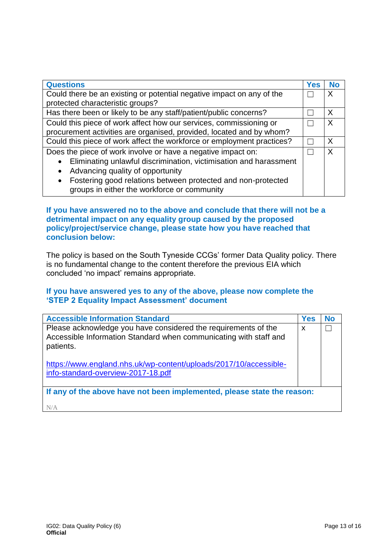| <b>Questions</b>                                                                                                         | Yes | <b>No</b> |
|--------------------------------------------------------------------------------------------------------------------------|-----|-----------|
| Could there be an existing or potential negative impact on any of the                                                    |     |           |
| protected characteristic groups?                                                                                         |     |           |
| Has there been or likely to be any staff/patient/public concerns?                                                        |     |           |
| Could this piece of work affect how our services, commissioning or                                                       |     | X         |
| procurement activities are organised, provided, located and by whom?                                                     |     |           |
| Could this piece of work affect the workforce or employment practices?                                                   |     | Χ         |
| Does the piece of work involve or have a negative impact on:                                                             |     | X         |
| Eliminating unlawful discrimination, victimisation and harassment                                                        |     |           |
| Advancing quality of opportunity<br>$\bullet$                                                                            |     |           |
| Fostering good relations between protected and non-protected<br>$\bullet$<br>groups in either the workforce or community |     |           |

**If you have answered no to the above and conclude that there will not be a detrimental impact on any equality group caused by the proposed policy/project/service change, please state how you have reached that conclusion below:** 

The policy is based on the South Tyneside CCGs' former Data Quality policy. There is no fundamental change to the content therefore the previous EIA which concluded 'no impact' remains appropriate.

### **If you have answered yes to any of the above, please now complete the 'STEP 2 Equality Impact Assessment' document**

| <b>Accessible Information Standard</b>                                                                                                           | Yes | No |
|--------------------------------------------------------------------------------------------------------------------------------------------------|-----|----|
| Please acknowledge you have considered the requirements of the<br>Accessible Information Standard when communicating with staff and<br>patients. | X   |    |
| https://www.england.nhs.uk/wp-content/uploads/2017/10/accessible-<br>info-standard-overview-2017-18.pdf                                          |     |    |
| If any of the above have not been implemented, please state the reason:                                                                          |     |    |
| N/A                                                                                                                                              |     |    |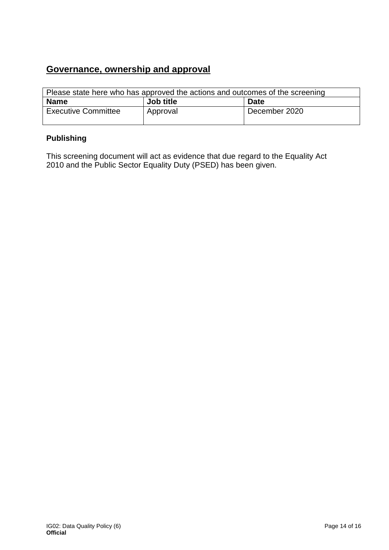### **Governance, ownership and approval**

| Please state here who has approved the actions and outcomes of the screening |           |               |
|------------------------------------------------------------------------------|-----------|---------------|
| <b>Name</b>                                                                  | Job title | <b>Date</b>   |
| <b>Executive Committee</b>                                                   | Approval  | December 2020 |

### **Publishing**

This screening document will act as evidence that due regard to the Equality Act 2010 and the Public Sector Equality Duty (PSED) has been given.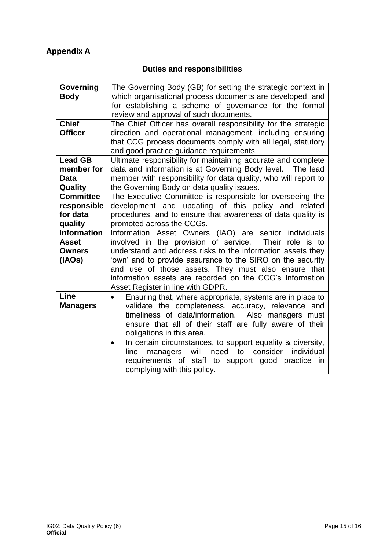## <span id="page-14-0"></span>**Appendix A**

### **Duties and responsibilities**

| Governing          | The Governing Body (GB) for setting the strategic context in            |
|--------------------|-------------------------------------------------------------------------|
| <b>Body</b>        | which organisational process documents are developed, and               |
|                    | for establishing a scheme of governance for the formal                  |
|                    | review and approval of such documents.                                  |
| <b>Chief</b>       | The Chief Officer has overall responsibility for the strategic          |
| <b>Officer</b>     | direction and operational management, including ensuring                |
|                    | that CCG process documents comply with all legal, statutory             |
|                    | and good practice guidance requirements.                                |
| <b>Lead GB</b>     | Ultimate responsibility for maintaining accurate and complete           |
| member for         | data and information is at Governing Body level. The lead               |
| <b>Data</b>        | member with responsibility for data quality, who will report to         |
| Quality            | the Governing Body on data quality issues.                              |
| <b>Committee</b>   | The Executive Committee is responsible for overseeing the               |
| responsible        | development and updating of this policy and related                     |
| for data           | procedures, and to ensure that awareness of data quality is             |
| quality            | promoted across the CCGs.                                               |
| <b>Information</b> | Information Asset Owners (IAO) are senior individuals                   |
| <b>Asset</b>       | involved in the provision of service.<br>Their role is to               |
| <b>Owners</b>      | understand and address risks to the information assets they             |
| (IAOs)             | 'own' and to provide assurance to the SIRO on the security              |
|                    | and use of those assets. They must also ensure that                     |
|                    | information assets are recorded on the CCG's Information                |
|                    | Asset Register in line with GDPR.                                       |
| Line               | Ensuring that, where appropriate, systems are in place to<br>$\bullet$  |
| <b>Managers</b>    | validate the completeness, accuracy, relevance and                      |
|                    | timeliness of data/information.<br>Also managers must                   |
|                    | ensure that all of their staff are fully aware of their                 |
|                    | obligations in this area.                                               |
|                    | In certain circumstances, to support equality & diversity,<br>$\bullet$ |
|                    | need to<br>consider<br>will<br>individual<br>line<br>managers           |
|                    | requirements of staff to support good practice<br>in                    |
|                    | complying with this policy.                                             |